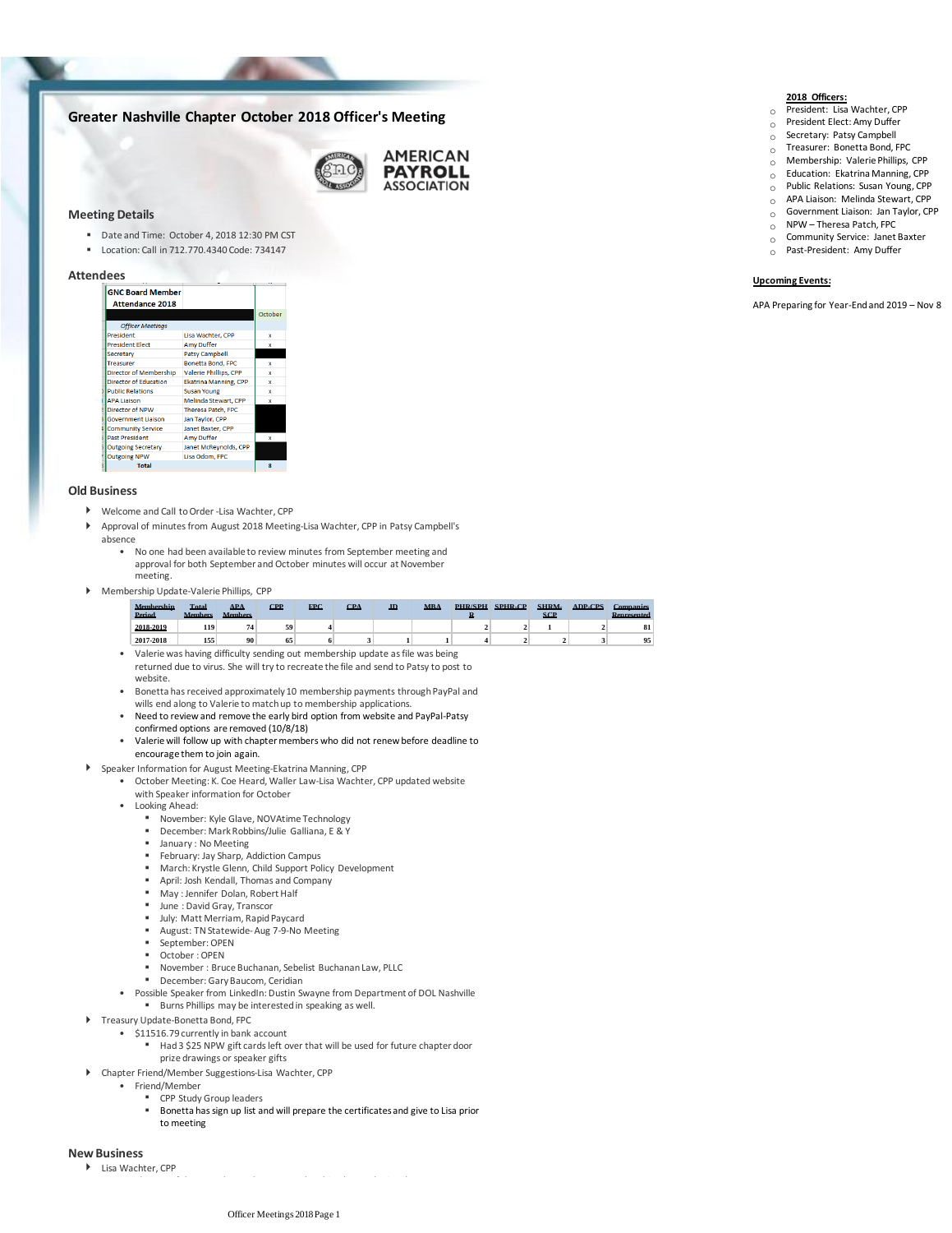# **Greater Nashville Chapter October 2018 Officer's Meeting**



## **Meeting Details**

- Date and Time: October 4, 2018 12:30 PM CST
- Location: Call in 712.770.4340 Code: 734147

## **Attendees**

| <b>GNC Board Member</b><br><b>Attendance 2018</b> |                              |         |
|---------------------------------------------------|------------------------------|---------|
|                                                   |                              | October |
| <b>Officer Meetings</b>                           |                              |         |
| President                                         | Lisa Wachter, CPP            | x       |
| <b>President Elect</b>                            | <b>Amy Duffer</b>            | x       |
| Secretary                                         | <b>Patsy Campbell</b>        |         |
| <b>Treasurer</b>                                  | <b>Bonetta Bond, FPC</b>     | x       |
| <b>Director of Membership</b>                     | <b>Valerie Phillips, CPP</b> | x       |
| <b>Director of Education</b>                      | <b>Ekatrina Manning, CPP</b> | ×       |
| <b>Public Relations</b>                           | <b>Susan Young</b>           | x       |
| <b>APA Liaison</b>                                | Melinda Stewart, CPP         | ×       |
| Director of NPW                                   | <b>Theresa Patch, FPC</b>    |         |
| <b>Government Liaison</b>                         | Jan Taylor, CPP              |         |
| <b>Community Service</b>                          | Janet Baxter, CPP            |         |
| <b>Past President</b>                             | Amy Duffer                   | x       |
| <b>Outgoing Secretary</b>                         | Janet McReynolds, CPP        |         |
| <b>Outgoing NPW</b>                               | Lisa Odom, FPC               |         |
| <b>Total</b>                                      |                              | g       |
|                                                   |                              |         |

#### **Old Business**

- Welcome and Call to Order -Lisa Wachter, CPP
- Approval of minutes from August 2018 Meeting-Lisa Wachter, CPP in Patsy Campbell's absence  $\overline{ }$ 
	- No one had been available to review minutes from September meeting and approval for both September and October minutes will occur at November meeting. •
- Membership Update-Valerie Phillips, CPP

| Membershin<br>Period | Total<br><b>Members</b> | <b>APA</b><br><b>Members</b> | CPP | <b>FPC</b> | <b>CPA</b> | <b>JD</b> | <b>MRA</b> | <b>PHR/SPH</b> | <b>SPHR.CP</b> | SHRM.<br>SCP | <b>ADP.CPS</b> | Companies<br>Represented |
|----------------------|-------------------------|------------------------------|-----|------------|------------|-----------|------------|----------------|----------------|--------------|----------------|--------------------------|
| 2018-2019            | 119                     |                              | 59  |            |            |           |            |                |                |              |                | 81                       |
| 2017-2018            | 155                     | 90                           | 65  |            |            |           |            |                |                |              |                | 95                       |

- Valerie was having difficulty sending out membership update as file was being returned due to virus. She will try to recreate the file and send to Patsy to post to website.
- Bonetta has received approximately 10 membership payments through PayPal and wills end along to Valerie to match up to membership applications.
- Need to review and remove the early bird option from website and PayPal-Patsy confirmed options are removed (10/8/18)
- Valerie will follow up with chapter members who did not renew before deadline to encourage them to join again.
- Speaker Information for August Meeting-Ekatrina Manning, CPP
	- October Meeting: K. Coe Heard, Waller Law-Lisa Wachter, CPP updated website with Speaker information for October
	- Looking Ahead:
		- November: Kyle Glave, NOVAtime Technology
		- December: Mark Robbins/Julie Galliana, E & Y
		- January : No Meeting
		- February: Jay Sharp, Addiction Campus
		- March: Krystle Glenn, Child Support Policy Development
		- April: Josh Kendall, Thomas and Company
		- May : Jennifer Dolan, Robert Half
		- June : David Gray, Transcor
		- July: Matt Merriam, Rapid Paycard August: TN Statewide-Aug 7-9-No Meeting
		- September: OPEN
		- October : OPEN
		- November : Bruce Buchanan, Sebelist Buchanan Law, PLLC
	- December: Gary Baucom, Ceridian
	- Possible Speaker from LinkedIn: Dustin Swayne from Department of DOL Nashville
	- Burns Phillips may be interested in speaking as well.
- ▶ Treasury Update-Bonetta Bond, FPC
	- \$11516.79 currently in bank account
		- Had 3 \$25 NPW gift cards left over that will be used for future chapter door prize drawings or speaker gifts ▪
	- Chapter Friend/Member Suggestions-Lisa Wachter, CPP
		- Friend/Member
			- CPP Study Group leaders
			- Bonetta has sign up list and will prepare the certificates and give to Lisa prior to meeting

#### **New Business**

Lisa Wachter, CPP



- o President: Lisa Wachter, CPP
- o President Elect: Amy Duffer
- o Secretary: Patsy Campbell
- $\overline{O}$  Treasurer: Bonetta Bond, FPC
- $\circ$  Membership: Valerie Phillips, CPP  $\overline{O}$  Education: Ekatrina Manning, CPP
- o Public Relations: Susan Young, CPP
- o APA Liaison: Melinda Stewart, CPP
- $\circ$  Government Liaison: Jan Taylor, CPP
- $O$  NPW Theresa Patch, FPC
- o Community Service: Janet Baxter
- o Past-President: Amy Duffer

# **Upcoming Events:**

APA Preparing for Year-End and 2019 – Nov 8